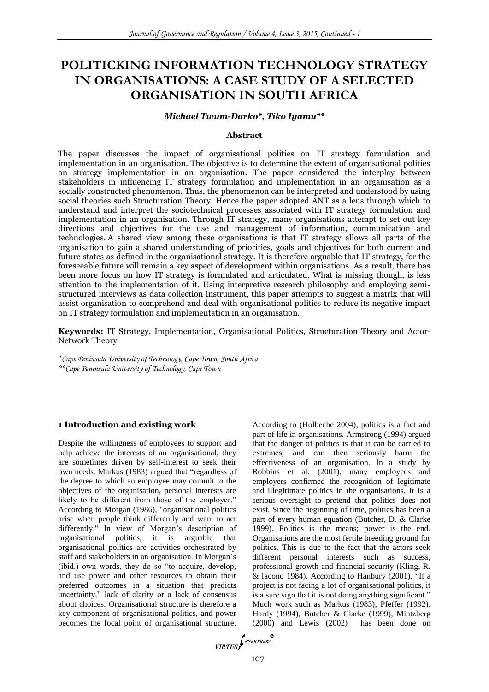# **POLITICKING INFORMATION TECHNOLOGY STRATEGY IN ORGANISATIONS: A CASE STUDY OF A SELECTED ORGANISATION IN SOUTH AFRICA**

#### *Michael Twum-Darko\*, Tiko Iyamu\*\**

### **Abstract**

The paper discusses the impact of organisational polities on IT strategy formulation and implementation in an organisation. The objective is to determine the extent of organisational polities on strategy implementation in an organisation. The paper considered the interplay between stakeholders in influencing IT strategy formulation and implementation in an organisation as a socially constructed phenomenon. Thus, the phenomenon can be interpreted and understood by using social theories such Structuration Theory. Hence the paper adopted ANT as a lens through which to understand and interpret the sociotechnical processes associated with IT strategy formulation and implementation in an organisation. Through IT strategy, many organisations attempt to set out key directions and objectives for the use and management of information, communication and technologies. A shared view among these organisations is that IT strategy allows all parts of the organisation to gain a shared understanding of priorities, goals and objectives for both current and future states as defined in the organisational strategy. It is therefore arguable that IT strategy, for the foreseeable future will remain a key aspect of development within organisations. As a result, there has been more focus on how IT strategy is formulated and articulated. What is missing though, is less attention to the implementation of it. Using interpretive research philosophy and employing semistructured interviews as data collection instrument, this paper attempts to suggest a matrix that will assist organisation to comprehend and deal with organisational politics to reduce its negative impact on IT strategy formulation and implementation in an organisation.

**Keywords:** IT Strategy, Implementation, Organisational Politics, Structuration Theory and Actor-Network Theory

*\*Cape Peninsula University of Technology, Cape Town, South Africa \*\*Cape Peninsula University of Technology, Cape Town*

#### **1 Introduction and existing work**

Despite the willingness of employees to support and help achieve the interests of an organisational, they are sometimes driven by self-interest to seek their own needs. Markus (1983) argued that "regardless of the degree to which an employee may commit to the objectives of the organisation, personal interests are likely to be different from those of the employer." According to Morgan (1986), "organisational politics arise when people think differently and want to act differently." In view of Morgan's description of organisational polities, it is arguable that organisational politics are activities orchestrated by staff and stakeholders in an organisation. In Morgan's (ibid.) own words, they do so "to acquire, develop, and use power and other resources to obtain their preferred outcomes in a situation that predicts uncertainty," lack of clarity or a lack of consensus about choices. Organisational structure is therefore a key component of organisational politics, and power becomes the focal point of organisational structure.

According to (Holbeche 2004), politics is a fact and part of life in organisations. Armstrong (1994) argued that the danger of politics is that it can be carried to extremes, and can then seriously harm the effectiveness of an organisation. In a study by Robbins et al. (2001), many employees and employers confirmed the recognition of legitimate and illegitimate politics in the organisations. It is a serious oversight to pretend that politics does not exist. Since the beginning of time, politics has been a part of every human equation (Butcher, D. & Clarke 1999). Politics is the means; power is the end. Organisations are the most fertile breeding ground for politics. This is due to the fact that the actors seek different personal interests such as success, professional growth and financial security (Kling, R. & Iacono 1984). According to Hanbury (2001), "If a project is not facing a lot of organisational politics, it is a sure sign that it is not doing anything significant." Much work such as Markus (1983), Pfeffer (1992), Hardy (1994), Butcher & Clarke (1999), Mintzberg (2000) and Lewis (2002) has been done on

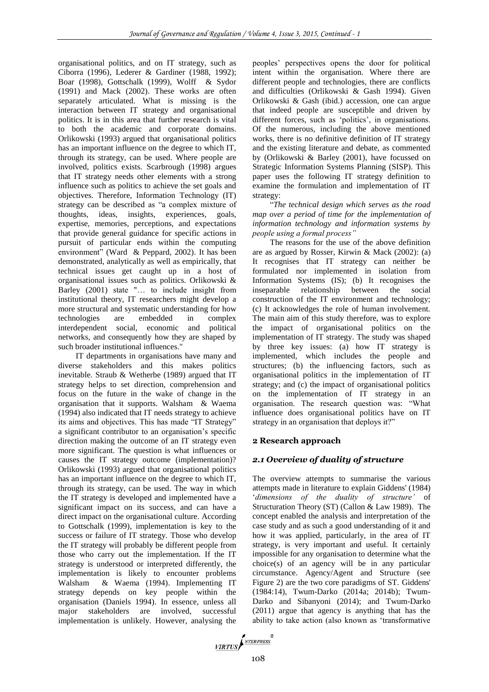organisational politics, and on IT strategy, such as Ciborra (1996), Lederer & Gardiner (1988, 1992); Boar (1998), Gottschalk (1999), Wolff & Sydor (1991) and Mack (2002). These works are often separately articulated. What is missing is the interaction between IT strategy and organisational politics. It is in this area that further research is vital to both the academic and corporate domains. Orlikowski (1993) argued that organisational politics has an important influence on the degree to which IT, through its strategy, can be used. Where people are involved, politics exists. Scarbrough (1998) argues that IT strategy needs other elements with a strong influence such as politics to achieve the set goals and objectives. Therefore, Information Technology (IT) strategy can be described as "a complex mixture of thoughts, ideas, insights, experiences, goals, expertise, memories, perceptions, and expectations that provide general guidance for specific actions in pursuit of particular ends within the computing environment" (Ward & Peppard, 2002). It has been demonstrated, analytically as well as empirically, that technical issues get caught up in a host of organisational issues such as politics. Orlikowski & Barley (2001) state "… to include insight from institutional theory, IT researchers might develop a more structural and systematic understanding for how technologies are embedded in complex interdependent social, economic and political networks, and consequently how they are shaped by such broader institutional influences."

IT departments in organisations have many and diverse stakeholders and this makes politics inevitable. Straub & Wetherbe (1989) argued that IT strategy helps to set direction, comprehension and focus on the future in the wake of change in the organisation that it supports. Walsham & Waema (1994) also indicated that IT needs strategy to achieve its aims and objectives. This has made "IT Strategy" a significant contributor to an organisation's specific direction making the outcome of an IT strategy even more significant. The question is what influences or causes the IT strategy outcome (implementation)? Orlikowski (1993) argued that organisational politics has an important influence on the degree to which IT, through its strategy, can be used. The way in which the IT strategy is developed and implemented have a significant impact on its success, and can have a direct impact on the organisational culture. According to Gottschalk (1999), implementation is key to the success or failure of IT strategy. Those who develop the IT strategy will probably be different people from those who carry out the implementation. If the IT strategy is understood or interpreted differently, the implementation is likely to encounter problems Walsham & Waema (1994). Implementing IT strategy depends on key people within the organisation (Daniels 1994). In essence, unless all major stakeholders are involved, successful implementation is unlikely. However, analysing the

peoples' perspectives opens the door for political intent within the organisation. Where there are different people and technologies, there are conflicts and difficulties (Orlikowski & Gash 1994). Given Orlikowski & Gash (ibid.) accession, one can argue that indeed people are susceptible and driven by different forces, such as 'politics', in organisations. Of the numerous, including the above mentioned works, there is no definitive definition of IT strategy and the existing literature and debate, as commented by (Orlikowski & Barley (2001), have focussed on Strategic Information Systems Planning (SISP). This paper uses the following IT strategy definition to examine the formulation and implementation of IT strategy:

"*The technical design which serves as the road map over a period of time for the implementation of information technology and information systems by people using a formal process"* 

The reasons for the use of the above definition are as argued by Rosser, Kirwin & Mack (2002): (a) It recognises that IT strategy can neither be formulated nor implemented in isolation from Information Systems (IS); (b) It recognises the inseparable relationship between the social construction of the IT environment and technology; (c) It acknowledges the role of human involvement. The main aim of this study therefore, was to explore the impact of organisational politics on the implementation of IT strategy. The study was shaped by three key issues: (a) how IT strategy is implemented, which includes the people and structures; (b) the influencing factors, such as organisational politics in the implementation of IT strategy; and (c) the impact of organisational politics on the implementation of IT strategy in an organisation. The research question was: "What influence does organisational politics have on IT strategy in an organisation that deploys it?"

# **2 Research approach**

# *2.1 Overview of duality of structure*

The overview attempts to summarise the various attempts made in literature to explain Giddens' (1984) '*dimensions of the duality of structure'* of Structuration Theory (ST) (Callon & Law 1989). The concept enabled the analysis and interpretation of the case study and as such a good understanding of it and how it was applied, particularly, in the area of IT strategy, is very important and useful. It certainly impossible for any organisation to determine what the choice(s) of an agency will be in any particular circumstance. Agency/Agent and Structure (see Figure 2) are the two core paradigms of ST. Giddens' (1984:14), Twum-Darko (2014a; 2014b); Twum-Darko and Sibanyoni (2014); and Twum-Darko (2011) argue that agency is anything that has the ability to take action (also known as 'transformative

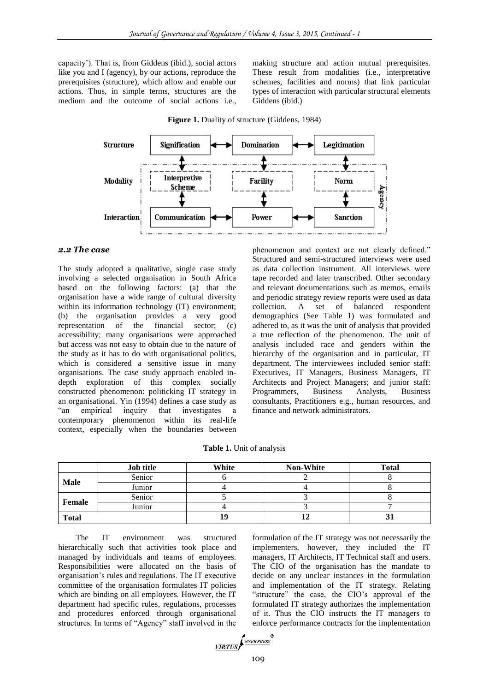capacity'). That is, from Giddens (ibid.), social actors like you and I (agency), by our actions, reproduce the prerequisites (structure), which allow and enable our actions. Thus, in simple terms, structures are the medium and the outcome of social actions i.e.,

making structure and action mutual prerequisites. These result from modalities (i.e., interpretative schemes, facilities and norms) that link particular types of interaction with particular structural elements Giddens (ibid.)



**Figure 1.** Duality of structure (Giddens, 1984)

## *2.2 The case*

The study adopted a qualitative, single case study involving a selected organisation in South Africa based on the following factors: (a) that the organisation have a wide range of cultural diversity within its information technology (IT) environment; (b) the organisation provides a very good representation of the financial sector; (c) accessibility; many organisations were approached but access was not easy to obtain due to the nature of the study as it has to do with organisational politics, which is considered a sensitive issue in many organisations. The case study approach enabled indepth exploration of this complex socially constructed phenomenon: politicking IT strategy in an organisational. Yin (1994) defines a case study as "an empirical inquiry that investigates a contemporary phenomenon within its real-life context, especially when the boundaries between

phenomenon and context are not clearly defined." Structured and semi-structured interviews were used as data collection instrument. All interviews were tape recorded and later transcribed. Other secondary and relevant documentations such as memos, emails and periodic strategy review reports were used as data collection. A set of balanced respondent demographics (See Table 1) was formulated and adhered to, as it was the unit of analysis that provided a true reflection of the phenomenon. The unit of analysis included race and genders within the hierarchy of the organisation and in particular, IT department. The interviewees included senior staff: Executives, IT Managers, Business Managers, IT Architects and Project Managers; and junior staff: Programmers, Business Analysts, Business consultants, Practitioners e.g., human resources, and finance and network administrators.

**Table 1.** Unit of analysis

|              | <b>Job title</b> | White | <b>Non-White</b> | <b>Total</b> |
|--------------|------------------|-------|------------------|--------------|
| <b>Male</b>  | Senior           |       |                  |              |
|              | Junior           |       |                  |              |
| Female       | Senior           |       |                  |              |
|              | Junior           |       |                  |              |
| <b>Total</b> |                  | 19    |                  | JІ           |

The IT environment was structured hierarchically such that activities took place and managed by individuals and teams of employees. Responsibilities were allocated on the basis of organisation's rules and regulations. The IT executive committee of the organisation formulates IT policies which are binding on all employees. However, the IT department had specific rules, regulations, processes and procedures enforced through organisational structures. In terms of "Agency" staff involved in the

formulation of the IT strategy was not necessarily the implementers, however, they included the IT managers, IT Architects, IT Technical staff and users. The CIO of the organisation has the mandate to decide on any unclear instances in the formulation and implementation of the IT strategy. Relating "structure" the case, the CIO's approval of the formulated IT strategy authorizes the implementation of it. Thus the CIO instructs the IT managers to enforce performance contracts for the implementation

$$
\underbrace{\textit{VIRTUS}} \textit{f}^{\textit{NTERPRESS}}\textit{}
$$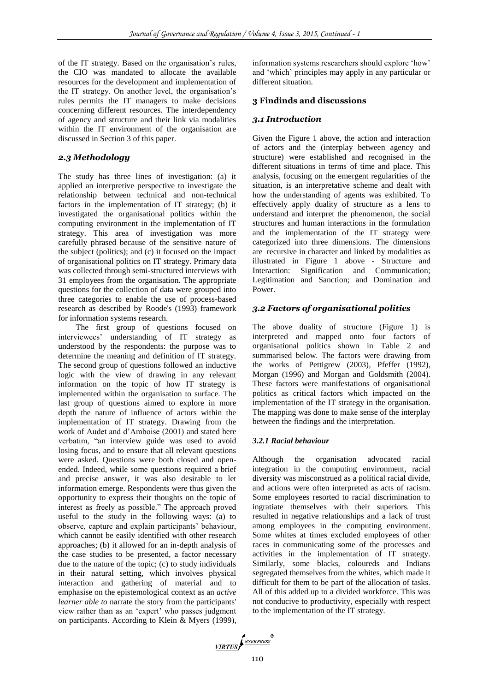of the IT strategy. Based on the organisation's rules, the CIO was mandated to allocate the available resources for the development and implementation of the IT strategy. On another level, the organisation's rules permits the IT managers to make decisions concerning different resources. The interdependency of agency and structure and their link via modalities within the IT environment of the organisation are discussed in Section 3 of this paper.

# *2.3 Methodology*

The study has three lines of investigation: (a) it applied an interpretive perspective to investigate the relationship between technical and non-technical factors in the implementation of IT strategy; (b) it investigated the organisational politics within the computing environment in the implementation of IT strategy. This area of investigation was more carefully phrased because of the sensitive nature of the subject (politics); and (c) it focused on the impact of organisational politics on IT strategy. Primary data was collected through semi-structured interviews with 31 employees from the organisation. The appropriate questions for the collection of data were grouped into three categories to enable the use of process-based research as described by Roode's (1993) framework for information systems research.

The first group of questions focused on interviewees' understanding of IT strategy as understood by the respondents: the purpose was to determine the meaning and definition of IT strategy. The second group of questions followed an inductive logic with the view of drawing in any relevant information on the topic of how IT strategy is implemented within the organisation to surface. The last group of questions aimed to explore in more depth the nature of influence of actors within the implementation of IT strategy. Drawing from the work of Audet and d'Amboise (2001) and stated here verbatim, "an interview guide was used to avoid losing focus, and to ensure that all relevant questions were asked. Questions were both closed and openended. Indeed, while some questions required a brief and precise answer, it was also desirable to let information emerge. Respondents were thus given the opportunity to express their thoughts on the topic of interest as freely as possible." The approach proved useful to the study in the following ways: (a) to observe, capture and explain participants' behaviour, which cannot be easily identified with other research approaches; (b) it allowed for an in-depth analysis of the case studies to be presented, a factor necessary due to the nature of the topic; (c) to study individuals in their natural setting, which involves physical interaction and gathering of material and to emphasise on the epistemological context as an *active learner able to* narrate the story from the participants' view rather than as an 'expert' who passes judgment on participants. According to Klein & Myers (1999), information systems researchers should explore 'how' and 'which' principles may apply in any particular or different situation.

### **3 Findinds and discussions**

### *3.1 Introduction*

Given the Figure 1 above, the action and interaction of actors and the (interplay between agency and structure) were established and recognised in the different situations in terms of time and place. This analysis, focusing on the emergent regularities of the situation, is an interpretative scheme and dealt with how the understanding of agents was exhibited. To effectively apply duality of structure as a lens to understand and interpret the phenomenon, the social structures and human interactions in the formulation and the implementation of the IT strategy were categorized into three dimensions. The dimensions are recursive in character and linked by modalities as illustrated in Figure 1 above - Structure and Interaction: Signification and Communication; Legitimation and Sanction; and Domination and Power.

### *3.2 Factors of organisational politics*

The above duality of structure (Figure 1) is interpreted and mapped onto four factors of organisational politics shown in Table 2 and summarised below. The factors were drawing from the works of Pettigrew (2003), Pfeffer (1992), Morgan (1996) and Morgan and Goldsmith (2004). These factors were manifestations of organisational politics as critical factors which impacted on the implementation of the IT strategy in the organisation. The mapping was done to make sense of the interplay between the findings and the interpretation.

### *3.2.1 Racial behaviour*

Although the organisation advocated racial integration in the computing environment, racial diversity was misconstrued as a political racial divide, and actions were often interpreted as acts of racism. Some employees resorted to racial discrimination to ingratiate themselves with their superiors. This resulted in negative relationships and a lack of trust among employees in the computing environment. Some whites at times excluded employees of other races in communicating some of the processes and activities in the implementation of IT strategy. Similarly, some blacks, coloureds and Indians segregated themselves from the whites, which made it difficult for them to be part of the allocation of tasks. All of this added up to a divided workforce. This was not conducive to productivity, especially with respect to the implementation of the IT strategy.

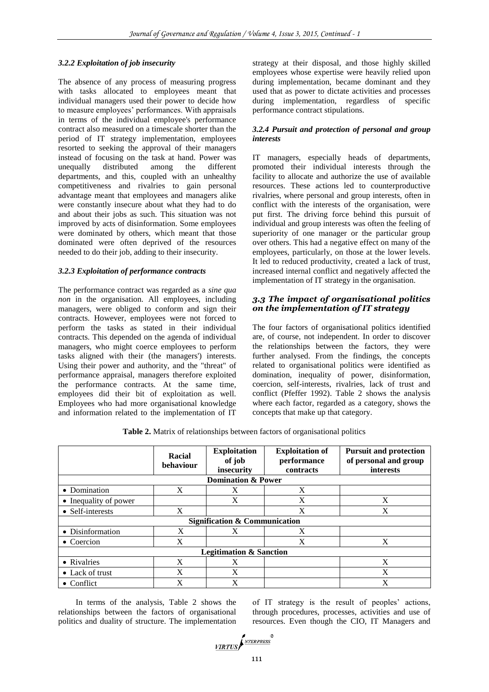#### *3.2.2 Exploitation of job insecurity*

The absence of any process of measuring progress with tasks allocated to employees meant that individual managers used their power to decide how to measure employees' performances. With appraisals in terms of the individual employee's performance contract also measured on a timescale shorter than the period of IT strategy implementation, employees resorted to seeking the approval of their managers instead of focusing on the task at hand. Power was unequally distributed among the different unequally distributed among the different departments, and this, coupled with an unhealthy competitiveness and rivalries to gain personal advantage meant that employees and managers alike were constantly insecure about what they had to do and about their jobs as such. This situation was not improved by acts of disinformation. Some employees were dominated by others, which meant that those dominated were often deprived of the resources needed to do their job, adding to their insecurity.

#### *3.2.3 Exploitation of performance contracts*

The performance contract was regarded as a *sine qua non* in the organisation. All employees, including managers, were obliged to conform and sign their contracts. However, employees were not forced to perform the tasks as stated in their individual contracts. This depended on the agenda of individual managers, who might coerce employees to perform tasks aligned with their (the managers') interests. Using their power and authority, and the "threat" of performance appraisal, managers therefore exploited the performance contracts. At the same time, employees did their bit of exploitation as well. Employees who had more organisational knowledge and information related to the implementation of IT

strategy at their disposal, and those highly skilled employees whose expertise were heavily relied upon during implementation, became dominant and they used that as power to dictate activities and processes during implementation, regardless of specific performance contract stipulations.

## *3.2.4 Pursuit and protection of personal and group interests*

IT managers, especially heads of departments, promoted their individual interests through the facility to allocate and authorize the use of available resources. These actions led to counterproductive rivalries, where personal and group interests, often in conflict with the interests of the organisation, were put first. The driving force behind this pursuit of individual and group interests was often the feeling of superiority of one manager or the particular group over others. This had a negative effect on many of the employees, particularly, on those at the lower levels. It led to reduced productivity, created a lack of trust, increased internal conflict and negatively affected the implementation of IT strategy in the organisation.

## *3.3 The impact of organisational politics on the implementation of IT strategy*

The four factors of organisational politics identified are, of course, not independent. In order to discover the relationships between the factors, they were further analysed. From the findings, the concepts related to organisational politics were identified as domination, inequality of power, disinformation, coercion, self-interests, rivalries, lack of trust and conflict (Pfeffer 1992). Table 2 shows the analysis where each factor, regarded as a category, shows the concepts that make up that category.

|                         | Racial<br>behaviour | <b>Exploitation</b><br>of job<br>insecurity | <b>Exploitation of</b><br>performance<br>contracts | <b>Pursuit and protection</b><br>of personal and group<br><i>interests</i> |
|-------------------------|---------------------|---------------------------------------------|----------------------------------------------------|----------------------------------------------------------------------------|
|                         |                     | <b>Domination &amp; Power</b>               |                                                    |                                                                            |
| • Domination            | X                   | X                                           | X                                                  |                                                                            |
| • Inequality of power   |                     | X                                           | X                                                  | X                                                                          |
| • Self-interests        | X                   |                                             | X                                                  | X                                                                          |
|                         |                     | <b>Signification &amp; Communication</b>    |                                                    |                                                                            |
| • Disinformation        | X                   | X                                           | X                                                  |                                                                            |
| $\bullet$ Coercion      | X                   |                                             | X                                                  | X                                                                          |
|                         |                     | <b>Legitimation &amp; Sanction</b>          |                                                    |                                                                            |
| • Rivalries             | X                   | X                                           |                                                    | X                                                                          |
| $\bullet$ Lack of trust | X                   | X                                           |                                                    | X                                                                          |
| $\bullet$ Conflict      | X                   | X                                           |                                                    | X                                                                          |

**Table 2.** Matrix of relationships between factors of organisational politics

In terms of the analysis, Table 2 shows the relationships between the factors of organisational politics and duality of structure. The implementation

of IT strategy is the result of peoples' actions, through procedures, processes, activities and use of resources. Even though the CIO, IT Managers and

$$
\underbrace{\hspace{0.5cm}\textcolor{blue}{\mathit{MRTUS}}\hspace{-0.5cm}\textcolor{blue}{\int^{MTERPRESS}}^{\textcolor{blue}{\mathit{NTERPRESS}}}
$$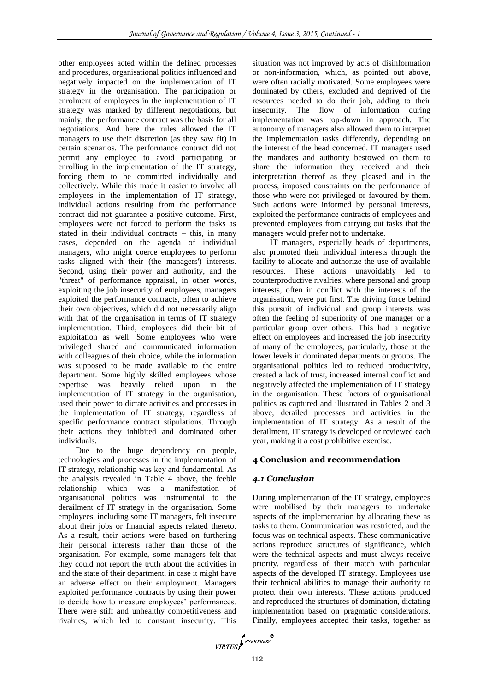other employees acted within the defined processes and procedures, organisational politics influenced and negatively impacted on the implementation of IT strategy in the organisation. The participation or enrolment of employees in the implementation of IT strategy was marked by different negotiations, but mainly, the performance contract was the basis for all negotiations. And here the rules allowed the IT managers to use their discretion (as they saw fit) in certain scenarios. The performance contract did not permit any employee to avoid participating or enrolling in the implementation of the IT strategy, forcing them to be committed individually and collectively. While this made it easier to involve all employees in the implementation of IT strategy, individual actions resulting from the performance contract did not guarantee a positive outcome. First, employees were not forced to perform the tasks as stated in their individual contracts – this, in many cases, depended on the agenda of individual managers, who might coerce employees to perform tasks aligned with their (the managers') interests. Second, using their power and authority, and the "threat" of performance appraisal, in other words, exploiting the job insecurity of employees, managers exploited the performance contracts, often to achieve their own objectives, which did not necessarily align with that of the organisation in terms of IT strategy implementation. Third, employees did their bit of exploitation as well. Some employees who were privileged shared and communicated information with colleagues of their choice, while the information was supposed to be made available to the entire department. Some highly skilled employees whose expertise was heavily relied upon in the implementation of IT strategy in the organisation, used their power to dictate activities and processes in the implementation of IT strategy, regardless of specific performance contract stipulations. Through their actions they inhibited and dominated other individuals.

Due to the huge dependency on people, technologies and processes in the implementation of IT strategy, relationship was key and fundamental. As the analysis revealed in Table 4 above, the feeble relationship which was a manifestation of organisational politics was instrumental to the derailment of IT strategy in the organisation. Some employees, including some IT managers, felt insecure about their jobs or financial aspects related thereto. As a result, their actions were based on furthering their personal interests rather than those of the organisation. For example, some managers felt that they could not report the truth about the activities in and the state of their department, in case it might have an adverse effect on their employment. Managers exploited performance contracts by using their power to decide how to measure employees' performances. There were stiff and unhealthy competitiveness and rivalries, which led to constant insecurity. This

situation was not improved by acts of disinformation or non-information, which, as pointed out above, were often racially motivated. Some employees were dominated by others, excluded and deprived of the resources needed to do their job, adding to their insecurity. The flow of information during implementation was top-down in approach. The autonomy of managers also allowed them to interpret the implementation tasks differently, depending on the interest of the head concerned. IT managers used the mandates and authority bestowed on them to share the information they received and their interpretation thereof as they pleased and in the process, imposed constraints on the performance of those who were not privileged or favoured by them. Such actions were informed by personal interests, exploited the performance contracts of employees and prevented employees from carrying out tasks that the managers would prefer not to undertake.

IT managers, especially heads of departments, also promoted their individual interests through the facility to allocate and authorize the use of available resources. These actions unavoidably led to counterproductive rivalries, where personal and group interests, often in conflict with the interests of the organisation, were put first. The driving force behind this pursuit of individual and group interests was often the feeling of superiority of one manager or a particular group over others. This had a negative effect on employees and increased the job insecurity of many of the employees, particularly, those at the lower levels in dominated departments or groups. The organisational politics led to reduced productivity, created a lack of trust, increased internal conflict and negatively affected the implementation of IT strategy in the organisation. These factors of organisational politics as captured and illustrated in Tables 2 and 3 above, derailed processes and activities in the implementation of IT strategy. As a result of the derailment, IT strategy is developed or reviewed each year, making it a cost prohibitive exercise.

### **4 Conclusion and recommendation**

### *4.1 Conclusion*

During implementation of the IT strategy, employees were mobilised by their managers to undertake aspects of the implementation by allocating these as tasks to them. Communication was restricted, and the focus was on technical aspects. These communicative actions reproduce structures of significance, which were the technical aspects and must always receive priority, regardless of their match with particular aspects of the developed IT strategy. Employees use their technical abilities to manage their authority to protect their own interests. These actions produced and reproduced the structures of domination, dictating implementation based on pragmatic considerations. Finally, employees accepted their tasks, together as

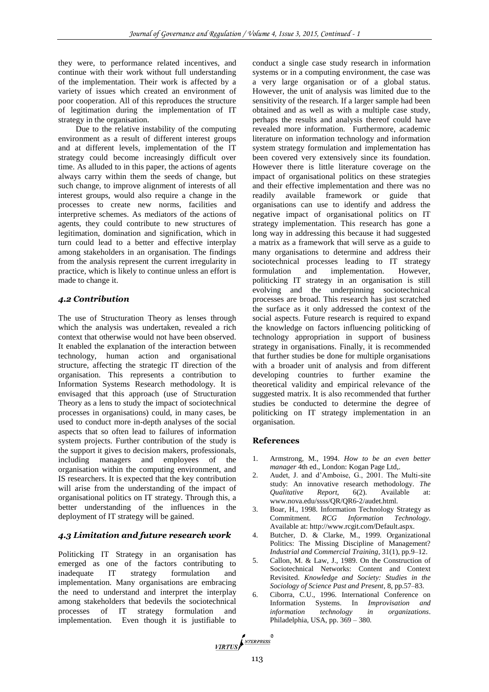they were, to performance related incentives, and continue with their work without full understanding of the implementation. Their work is affected by a variety of issues which created an environment of poor cooperation. All of this reproduces the structure of legitimation during the implementation of IT strategy in the organisation.

Due to the relative instability of the computing environment as a result of different interest groups and at different levels, implementation of the IT strategy could become increasingly difficult over time. As alluded to in this paper, the actions of agents always carry within them the seeds of change, but such change, to improve alignment of interests of all interest groups, would also require a change in the processes to create new norms, facilities and interpretive schemes. As mediators of the actions of agents, they could contribute to new structures of legitimation, domination and signification, which in turn could lead to a better and effective interplay among stakeholders in an organisation. The findings from the analysis represent the current irregularity in practice, which is likely to continue unless an effort is made to change it.

### *4.2 Contribution*

The use of Structuration Theory as lenses through which the analysis was undertaken, revealed a rich context that otherwise would not have been observed. It enabled the explanation of the interaction between technology, human action and organisational structure, affecting the strategic IT direction of the organisation. This represents a contribution to Information Systems Research methodology. It is envisaged that this approach (use of Structuration Theory as a lens to study the impact of sociotechnical processes in organisations) could, in many cases, be used to conduct more in-depth analyses of the social aspects that so often lead to failures of information system projects. Further contribution of the study is the support it gives to decision makers, professionals, including managers and employees of the organisation within the computing environment, and IS researchers. It is expected that the key contribution will arise from the understanding of the impact of organisational politics on IT strategy. Through this, a better understanding of the influences in the deployment of IT strategy will be gained.

# *4.3 Limitation and future research work*

Politicking IT Strategy in an organisation has emerged as one of the factors contributing to inadequate IT strategy formulation and implementation. Many organisations are embracing the need to understand and interpret the interplay among stakeholders that bedevils the sociotechnical processes of IT strategy formulation and implementation. Even though it is justifiable to

conduct a single case study research in information systems or in a computing environment, the case was a very large organisation or of a global status. However, the unit of analysis was limited due to the sensitivity of the research. If a larger sample had been obtained and as well as with a multiple case study, perhaps the results and analysis thereof could have revealed more information. Furthermore, academic literature on information technology and information system strategy formulation and implementation has been covered very extensively since its foundation. However there is little literature coverage on the impact of organisational politics on these strategies and their effective implementation and there was no readily available framework or guide that organisations can use to identify and address the negative impact of organisational politics on IT strategy implementation. This research has gone a long way in addressing this because it had suggested a matrix as a framework that will serve as a guide to many organisations to determine and address their sociotechnical processes leading to IT strategy formulation and implementation. However, politicking IT strategy in an organisation is still evolving and the underpinning sociotechnical processes are broad. This research has just scratched the surface as it only addressed the context of the social aspects. Future research is required to expand the knowledge on factors influencing politicking of technology appropriation in support of business strategy in organisations. Finally, it is recommended that further studies be done for multiple organisations with a broader unit of analysis and from different developing countries to further examine the theoretical validity and empirical relevance of the suggested matrix. It is also recommended that further studies be conducted to determine the degree of politicking on IT strategy implementation in an organisation.

#### **References**

- 1. Armstrong, M., 1994. *How to be an even better manager* 4th ed., London: Kogan Page Ltd,.
- 2. Audet, J. and d'Amboise, G., 2001. The Multi-site study: An innovative research methodology. *The Qualitative Report*, 6(2). Available at: www.nova.edu/ssss/QR/QR6-2/audet.html.
- 3. Boar, H., 1998. Information Technology Strategy as Commitment. *RCG Information Technology*. Available at: http://www.rcgit.com/Default.aspx.
- 4. Butcher, D. & Clarke, M., 1999. Organizational Politics: The Missing Discipline of Management? *Industrial and Commercial Training*, 31(1), pp.9–12.
- 5. Callon, M. & Law, J., 1989. On the Construction of Sociotechnical Networks: Content and Context Revisited. *Knowledge and Society: Studies in the Sociology of Science Past and Present*, 8, pp.57–83.
- 6. Ciborra, C.U., 1996. International Conference on Information Systems. In *Improvisation and information technology in organizations*. Philadelphia, USA, pp. 369 – 380.